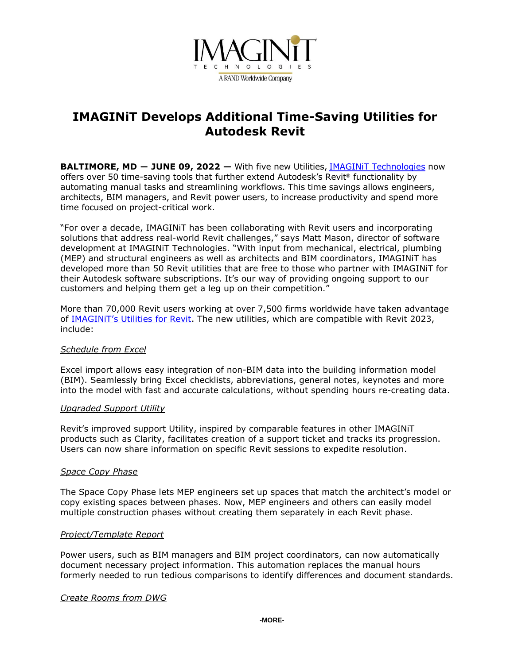

# **IMAGINiT Develops Additional Time-Saving Utilities for Autodesk Revit**

**BALTIMORE, MD ― JUNE 09, 2022 —** With five new Utilities, [IMAGINiT Technologies](https://www.imaginit.com/?utm_source=dynamic&utm_medium=press-release&utm_campaign=revit-utilities-2023) now offers over 50 time-saving tools that further extend Autodesk's Revit® functionality by automating manual tasks and streamlining workflows. This time savings allows engineers, architects, BIM managers, and Revit power users, to increase productivity and spend more time focused on project-critical work.

"For over a decade, IMAGINiT has been collaborating with Revit users and incorporating solutions that address real-world Revit challenges," says Matt Mason, director of software development at IMAGINiT Technologies. "With input from mechanical, electrical, plumbing (MEP) and structural engineers as well as architects and BIM coordinators, IMAGINiT has developed more than 50 Revit utilities that are free to those who partner with IMAGINiT for their Autodesk software subscriptions. It's our way of providing ongoing support to our customers and helping them get a leg up on their competition."

More than 70,000 Revit users working at over 7,500 firms worldwide have taken advantage of [IMAGINiT's Utilities for Revit](https://www.imaginit.com/software/imaginit-utilities-other-products/utilities-for-revit?utm_source=dynamic&utm_medium=press-release&utm_campaign=revit-utilities-2023). The new utilities, which are compatible with Revit 2023, include:

# *Schedule from Excel*

Excel import allows easy integration of non-BIM data into the building information model (BIM). Seamlessly bring Excel checklists, abbreviations, general notes, keynotes and more into the model with fast and accurate calculations, without spending hours re-creating data.

#### *Upgraded Support Utility*

Revit's improved support Utility, inspired by comparable features in other IMAGINiT products such as Clarity, facilitates creation of a support ticket and tracks its progression. Users can now share information on specific Revit sessions to expedite resolution.

#### *Space Copy Phase*

The Space Copy Phase lets MEP engineers set up spaces that match the architect's model or copy existing spaces between phases. Now, MEP engineers and others can easily model multiple construction phases without creating them separately in each Revit phase.

#### *Project/Template Report*

Power users, such as BIM managers and BIM project coordinators, can now automatically document necessary project information. This automation replaces the manual hours formerly needed to run tedious comparisons to identify differences and document standards.

#### *Create Rooms from DWG*